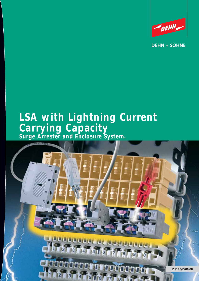

**DEHN + SÖHNE** 

# **LSA with Lightning Current Carrying Capacity Surge Arrester and Enclosure System.**

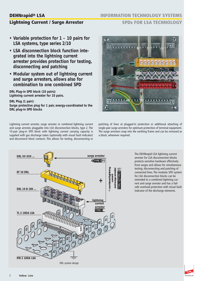# **DEHNrapid® LSA**

# **Lightning Current / Surge Arrester**

**INFORMATION TECHNOLOGY SYSTEMS** 

## **SPDs FOR LSA TECHNOLOGY**

- **Variable protection for 1 10 pairs for LSA systems, type series 2/10**
- **LSA disconnection block function integrated into the lightning current arrester provides protection for testing, disconnecting and patching**
- **Modular system out of lightning current and surge arresters, allows also for combination to one combined SPD**

**DRL Plug-in SPD block (10 pairs): Lightning current arrester for 10 pairs.**

**DRL Plug (1 pair):**

**Surge protective plug for 1 pair, energy-coordinated to the DRL plug-in SPD blocks**

Lightning current arrester, surge arrester or combined lightning current and surge arrester, pluggable into LSA disconnection blocks, type 2. The 10-pair plug-in SPD block with lightning current carrying capacity is supplied with gas discharge tubes (optionally with visual fault indicator) and disconnecti block contacts. This allows for testing, disconnecting or



patching of lines at plugged-in protection or additional attaching of single-pair surge arresters for optimum protection of terminal equipment. The surge arresters snap into the earthing frame and can be removed as a block, whenever required.



The DEHNrapid LSA lightning current arrester for LSA disconnection blocks protects sensitive hardware effectively from surges and allows for simultaneous testing, disconnecting and patching of connected lines. The modular SPD system for LSA disconnection blocks can be extended to a combined lightning current and surge arrester and has a failsafe overload protection with visual fault indicator of the discharge elements.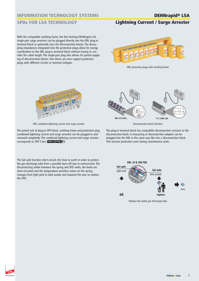### **SPDs FOR LSA TECHNOLOGY**

# **Lightning Current / Surge Arrester**

With the compatible earthing frame, the fine limiting DEHNrapid LSA single-pair surge arresters can be plugged directly into the DRL plug-in terminal block or optionally into LSA disconnection blocks. The decoupling impedances integrated into the protective plugs allow for energy coordination to the DRL plug-in terminal block without having to consider the cable length. The single-pair plug also allows for partial supplying of disconnection blocks. One block can even support protective plugs with different circuits or nominal voltages.



DRL protective plugs with earthing frame



DRL combined lightning current and surge arrester

The joined unit of plug-in SPD block, earthing frame and protective plug (combined lightning current and surge arrester) can be plugged in and removed completely. The combined lightning current and surge arrester corresponds to SPD Class TYPE 1GTYPE 3P1.

**DRL 10 B 180 FSD** The fail-safe function short-circuits the lines to earth in order to protect the gas discharge tube from a possible burn-off due to overcurrents. The disconnecting solder between the spring and SPD melts, the leads are short-circuited and the temperature-sensitive colour on the spring changes from light pink to dark purple and requests the user to replace the SPD.



Disconnection block function

The plug-in terminal block has compatible disconnection contacts to the disconnection block. A measuring or disconnection adapter can be plugged into the DRL in the same way like into a disconnection block. This ensures protection even during maintenance work.



Replace the faulty gas discharge tube

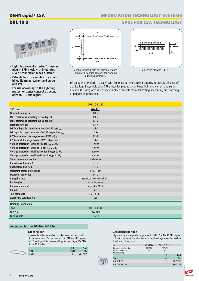# **DEHNrapid® LSA DRL 10 B**

**INFORMATION TECHNOLOGY SYSTEMS** 

### **SPDs FOR LSA TECHNOLOGY**



- **Lightning current arrester for use as plug-in SPD block with integrated LSA disconnection block function**
- **Extendible with modules to a combined lightning current and surge arrester**
- **For use according to the lightning protection zones concept at bound**aries  $0_A - 1$  and higher



SPD block with 3-pole gas discharge tubes. Integrated isolating contacts for plugging additional elements.



Dimension drawing DRL 10 B

DRL plug-in SPD block (10 pairs) with lightning current carrying capacity, for nearly all kinds of applications. Extendible with DRL protective plug to a combined lightning current and surge arrester. The integrated disconnection block contacts allow for testing, measuring and patching at plugged-in protection.

|                                                                           | <b>DRL 10 B 180</b>              |  |
|---------------------------------------------------------------------------|----------------------------------|--|
| SPD class                                                                 | <b>TYPE 1</b>                    |  |
| Nominal voltage U <sub>N</sub>                                            | 180 V                            |  |
| Max. continuous operating d.c. voltage U <sub>C</sub>                     | 180 V                            |  |
| Max. continuous operating a.c. voltage U <sub>C</sub>                     | 127 V                            |  |
| Nominal current I <sub>1</sub>                                            | 0.4A                             |  |
| D1 Total lightning impulse current (10/350 µs) I <sub>imp</sub>           | 5 kA                             |  |
| D1 Lightning impulse current (10/350 µs) per line limp                    | 2.5 kA                           |  |
| C2 Total nominal discharge current (8/20 µs) In                           | 10 kA                            |  |
| C2 Nominal discharge current (8/20 µs) per line In                        | 5 kA                             |  |
| Voltage protection level line-line for I <sub>imp</sub> D1 U <sub>p</sub> | $\leq 500$ V                     |  |
| Voltage protection level line-PG for I <sub>imp</sub> D1 U <sub>p</sub>   | $\leq 500$ V                     |  |
| Voltage protection level line-line for 1 kV/µs C3 Up                      | $\leq 500$ V                     |  |
| Voltage protection level line-PG for 1 kV/µs C3 U <sub>p</sub>            | $\leq$ 450 V                     |  |
| Series impedance per line                                                 | $\leq$ 0.005 ohms                |  |
| Capacitance line-line C                                                   | $\leq$ 5 pF                      |  |
| Capacitance line-PG C                                                     | $\leq$ 5 pF                      |  |
| Operating temperature range                                               | $-40^{\circ}$ C +80 $^{\circ}$ C |  |
| Degree of protection                                                      | <b>IP 10</b>                     |  |
| Pluggable into                                                            | LSA disconnection block 2/10     |  |
| Earthing by                                                               | mounting frame                   |  |
| Enclosure material                                                        | polyamide PA 6.6                 |  |
| Colour                                                                    | grey                             |  |
| <b>Test standards</b>                                                     | IEC 61643-21                     |  |
| <b>Approvals, Certifications</b>                                          | VdS                              |  |
| Ordering information                                                      |                                  |  |
| <b>Type</b>                                                               | <b>DRL 10 B 180</b>              |  |
| Part No.                                                                  | 907 400                          |  |
| Packing unit                                                              | 10 $pc(s)$ .                     |  |

#### **Accessory Part for DEHNrapid® LSA**

### **Label holder**

Universal label holder made of stainless steel, for clear marking of LSA connections. Can be snapped onto DEHNrapid LSA plugin SPD blocks, earthing frames with protective plug or LSA SPD blocks, 2/10 series.

|  |             | PU    | Part    |
|--|-------------|-------|---------|
|  | <b>Type</b> | nr/c) | No.     |
|  | SR DRL      |       | 907 497 |

#### **Gas discharge tube**

High-capacity spare gas discharge tubes for DRL 10 or BM 10 DRL. 3-pole unit with common thrust chamber for a steady voltage protection level for line-line and line-ground.

| Type                                                                     | GDT 230 B3 | GDT 230 B3 FSD |         |
|--------------------------------------------------------------------------|------------|----------------|---------|
| Integrated into (Part No.)<br>Visual fault indicator<br>Fail-safe spring | 907 400    | 907 401        |         |
|                                                                          |            | PU             | Part    |
| <b>Type</b>                                                              |            | pc(s)          | No.     |
| GDT 230 B3                                                               |            |                | 907 218 |
| GDT 230 B3 FSD                                                           |            |                | 907 219 |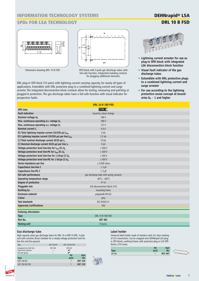# **SPDs FOR LSA TECHNOLOGY**





SPD block with 3-pole gas discharge tubes with fail-safe function. Integrated isolating contacts for plugging additional elements.

DRL plug-in SPD block (10 pairs) with lightning current carrying capacity, for nearly all types of applications. Extendible with DRL protective plug to a combined lightning current and surge arrester. The integrated disconnection block contacts allow for testing, measuring and patching at plugged-in protection. The gas discharge tubes have a fail-safe function with visual indicator for prospective faults.

**DEHNrapid® LSA DRL 10 B FSD**



- **Lightning current arrester for use as plug-in SPD block with integrated LSA disconnection block function**
- **Visual fault indicator of the gas discharge tubes**
- **Extendible with DRL protective plugs to a combined lightning current and surge arrester**
- **For use according to the lightning protection zones concept at bound**aries  $0_A - 1$  and higher

|                                                                           | <b>DRL 10 B 180 FSD</b>                 |  |
|---------------------------------------------------------------------------|-----------------------------------------|--|
| SPD class                                                                 | TYPE 1 <sup></sup>                      |  |
| <b>Fault indication</b>                                                   | visual by colour change                 |  |
| Nominal voltage U <sub>N</sub>                                            | 180 V                                   |  |
| Max. continuous operating d.c. voltage U <sub>C</sub>                     | 180 V                                   |  |
| Max. continuous operating a.c. voltage U <sub>c</sub>                     | 127 V                                   |  |
| Nominal current I <sub>I</sub>                                            | 0.4A                                    |  |
| D1 Total lightning impulse current (10/350 µs) I <sub>imp</sub>           | 5 kA                                    |  |
| D1 Lightning impulse current (10/350 $\mu$ s) per line $I_{\rm{imp}}$     | 2.5 kA                                  |  |
| C2 Total nominal discharge current (8/20 $\mu$ s) I <sub>n</sub>          | 10 kA                                   |  |
| C2 Nominal discharge current (8/20 µs) per line In                        | 5 kA                                    |  |
| Voltage protection level line-line for I <sub>imp</sub> D1 U <sub>p</sub> | $\leq 500$ V                            |  |
| Voltage protection level line-PG for I <sub>imp</sub> D1 U <sub>p</sub>   | $\leq 500$ V                            |  |
| Voltage protection level line-line for 1 kV/µs C3 U <sub>p</sub>          | $\leq 500$ V                            |  |
| Voltage protection level line-PG for 1 kV/us C3 U <sub>p</sub>            | $\leq 450$ V                            |  |
| Series impedance per line                                                 | $\leq$ 0.005 ohms                       |  |
| Capacitance line-line C                                                   | $\leq$ 5 pF                             |  |
| Capacitance line-PG C                                                     | $\leq$ 5 pF                             |  |
| Fail-safe performance                                                     | gas discharge tube with spring contacts |  |
| Operating temperature range                                               | $-40^{\circ}$ C $+80^{\circ}$ C         |  |
| Degree of protection                                                      | <b>IP 10</b>                            |  |
| Pluggable into                                                            | LSA disconnection block 2/10            |  |
| Earthing by                                                               | mounting frame                          |  |
| Enclosure material                                                        | polyamide PA 6.6                        |  |
| Colour                                                                    | grey                                    |  |
| <b>Test standards</b>                                                     | IEC 61643-21                            |  |
| <b>Approvals, Certifications</b>                                          | VdS                                     |  |
| Ordering information                                                      |                                         |  |
| <b>Type</b>                                                               | <b>DRL 10 B 180 FSD</b>                 |  |
| Part No.                                                                  | 907 401                                 |  |
| Packing unit                                                              | 10 pc(s).                               |  |
|                                                                           |                                         |  |

#### **Gas discharge tube**

High-capacity spare gas discharge tubes for DRL 10 or BM 10 DRL. 3-pole unit with common thrust chamber for a steady voltage protection level for line-line and line-ground.



#### Label holder

Universal label holder made of stainless steel, for clear marking of LSA connections. Can be snapped onto DEHNrapid LSA plugin SPD blocks, earthing frames with protective plug or LSA SPD blocks, 2/10 series.

|               | <b>DII</b><br>۲U | Part    |  |
|---------------|------------------|---------|--|
| <b>Type</b>   | nc(s)            | No.     |  |
| <b>SR DRL</b> |                  | 907 497 |  |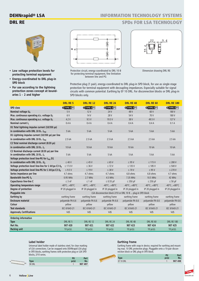# **DEHNrapid® LSA DRL RE**

# **INFORMATION TECHNOLOGY SYSTEMS**

### **SPDs FOR LSA TECHNOLOGY**



- **Low voltage protection levels for protecting terminal equipment**
- **Energy-coordinated to DRL plug-in SPD block**
- **For use according to the lightning protection zones concept at boundaries 1 – 2 and higher**



Protective circuit, energy-coordinated to DRL 10 B for protecting terminal equipment, fine limitation between line and PG



Dimension drawing DRL RE

Protective plug (1 pair), energy-coordinated to DRL plug-in SPD block, for use as single-stage protection for terminal equipment with decoupling impedances. Especially suitable for signal circuits with common potential. Earthing by EF 10 DRL. For disconnection blocks or DRL plug-in SPD blocks only.

|                                                                  | <b>DRL RE 5</b>                 | <b>DRL RE 12</b>                | <b>DRL RE 24</b>                | <b>DRL RE 48</b>                                            | <b>DRL RE 60</b>                | <b>DRL RE 180</b>               |
|------------------------------------------------------------------|---------------------------------|---------------------------------|---------------------------------|-------------------------------------------------------------|---------------------------------|---------------------------------|
| SPD class                                                        | CTYPE 3 P1                      | CTYPE 3 P1                      | CTYPE 3 P1                      | CTYPE 3 P1                                                  | CTYPE 3 P1                      | CTYPE 3 P1                      |
| Nominal voltage U <sub>N</sub>                                   | 5V                              | 12V                             | 24 V                            | 48 V                                                        | 60 V                            | 180 V                           |
| Max. continuous operating d.c. voltage U <sub>c</sub>            | 6 V                             | 14V                             | 28V                             | 54 V                                                        | 70V                             | 180 V                           |
| Max. continuous operating a.c. voltage U <sub>c</sub>            | 4.2V                            | 9.5V                            | 19.5 V                          | 38 V                                                        | 49.5 V                          | 127 V                           |
| Nominal current I <sub>I</sub>                                   | 0.4A                            | 0.4A                            | 0.4A                            | 0.4A                                                        | 0.4A                            | 0.1A                            |
| D1 Total lightning impulse current (10/350 µs)                   |                                 |                                 |                                 |                                                             |                                 |                                 |
| in combination with DRL 10 B $I_{\text{imp}}$                    | 5 kA                            | 5 kA                            | 5 kA                            | 5 kA                                                        | 5 kA                            | 5 kA                            |
| D1 Lightning impulse current (10/350 µs) per line                |                                 |                                 |                                 |                                                             |                                 |                                 |
| in combination with DRL 10 B $I_{\text{imp}}$                    | 2.5 kA                          | 2.5 kA                          | 2.5 kA                          | 2.5 kA                                                      | 2.5 kA                          | 2.5 kA                          |
| C2 Total nominal discharge current (8/20 µs)                     |                                 |                                 |                                 |                                                             |                                 |                                 |
| in combination with DRL 10 B $I_n$                               | 10 kA                           | 10 kA                           | 10 kA                           | 10 kA                                                       | 10 kA                           | 10 kA                           |
| C2 Nominal discharge current (8/20 µs) per line                  |                                 |                                 |                                 |                                                             |                                 |                                 |
| in combination with DRL 10 B In                                  | 5 kA                            | 5 kA                            | 5 kA                            | 5 kA                                                        | 5 kA                            | 5 kA                            |
| Voltage protection level line-PG for I <sub>imp</sub> D1         |                                 |                                 |                                 |                                                             |                                 |                                 |
| in combination with DRL 10 B $U_p$                               | $\leq 40$ V                     | $\leq$ 45 V                     | $\leq 65$ V                     | $\leq$ 95 V                                                 | $\leq$ 115 V                    | $\leq$ 280 V                    |
| Voltage protection level line-line for 1 kV/us C3 U <sub>p</sub> | $\leq$ 17.0 V                   | $\leq$ 36 V                     | $\leq$ 72 V                     | $\leq$ 135 V                                                | $\leq$ 185 V                    | $\leq 500$ V                    |
| Voltage protection level line-PG for 1 kV/us C3 U <sub>p</sub>   | $\leq$ 9.5 V                    | $\leq$ 19 V                     | $\leq$ 38 V                     | $\leq 70$ V                                                 | $\leq$ 95 V                     | $\leq$ 270 V                    |
| Series impedance per line                                        | 4.7 ohms                        | 4.7 ohms                        | 4.7 ohms                        | 6.8 ohms                                                    | 6.8 ohms                        | 4.7 ohms                        |
| Bandwidth line-PG f <sub>G</sub>                                 | 0.95 MHz                        | $2.7$ MHz                       | 4.5 MHz                         | 7.35 MHz                                                    | 10.5 MHz                        | 42 MHz                          |
| Capacitance line-line C                                          | $\leq$ 3 nF                     | $\leq 1$ nF                     | $\leq$ 0.55 pF                  | $\leq$ 350 pF                                               | $\leq$ 250 pF                   | $\leq 50$ pF                    |
| Operating temperature range                                      | $-40^{\circ}$ C $+80^{\circ}$ C | $-40^{\circ}$ C $+80^{\circ}$ C | $-40^{\circ}$ C $+80^{\circ}$ C | $-40^{\circ}$ C $+80^{\circ}$ C                             | $-40^{\circ}$ C $+80^{\circ}$ C | $-40^{\circ}$ C $+80^{\circ}$ C |
| Degree of protection                                             | IP 20 plugged in                | IP 20 plugged in                | IP 20 plugged in                | IP 20 plugged in                                            | IP 20 plugged in                | IP 20 plugged in                |
| Pluggable into                                                   |                                 |                                 |                                 | LSA disconnection block 2/10 or DRL 10 B  plug-in SPD block |                                 |                                 |
| Earthing by                                                      | earthing frame                  | earthing frame                  | earthing frame                  | earthing frame                                              | earthing frame                  | earthing frame                  |
| Enclosure material                                               | polyamide PA 6.6                | polyamide PA 6.6                | polyamide PA 6.6                | polyamide PA 6.6                                            | polyamide PA 6.6                | polyamide PA 6.6                |
| Colour                                                           | vellow                          | yellow                          | yellow                          | yellow                                                      | yellow                          | yellow                          |
| Test standards                                                   | IEC 61643-21                    | IEC 61643-21                    | IEC 61643-21                    | IEC 61643-21                                                | IEC 61643-21                    | IEC 61643-21                    |
| <b>Approvals, Certifications</b>                                 | VdS                             | VdS                             | VdS                             | VdS                                                         | VdS                             | VdS                             |
| Ordering information                                             |                                 |                                 |                                 |                                                             |                                 |                                 |
| <b>Type</b>                                                      | DRL RE <sub>5</sub>             | DRL RE 12                       | DRL RE 24                       | DRL RE 48                                                   | DRL RE 60                       | <b>DRL RE 180</b>               |
| Part No.                                                         | 907 420                         | 907 421                         | 907 422                         | 907 423                                                     | 907 424                         | 907 425                         |
| Packing unit                                                     | 10 pc(s).                       | 10 $pc(s)$ .                    | 10 $pc(s)$ .                    | 10 $pc(s)$ .                                                | 10 $pc(s)$ .                    | 10 $pc(s)$ .                    |

#### **Label holder**

Universal label holder made of stainless steel, for clear marking of LSA connections. Can be snapped onto DEHNrapid LSA plugin SPD blocks, earthing frames with protective plug or LSA SPD blocks, 2/10 series.

|               | <b>DII</b> | Part    |
|---------------|------------|---------|
| Type          | nc(c)      | No.     |
| <b>SR DRL</b> |            | 907 497 |

### **Earthing frame**

Earthing frame with snap-in device, required for earthing and mounting max. 10 DRL protective plugs. Pluggable onto a 10-pair disconnection block or DRL plug-in SPD block.

|           | PU     | Pan     |
|-----------|--------|---------|
| Type      | nr (s) | No.     |
| EF 10 DRL |        | 907 498 |
|           |        |         |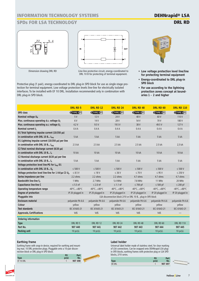# **INFORMATION TECHNOLOGY SYSTEMS**

# **SPDs FOR LSA TECHNOLOGY**



Dimension drawing DRL RD



Line-line protective circuit, energy-coordinated to DRL 10 B for protecting of terminal equipment.

Protective plug (1 pair), energy-coordinated to DRL plug-in SPD block for use as single-stage protection for terminal equipment. Low voltage protection levels line-line for electrically isolated interfaces. To be installed with EF 10 DRL. Installation recommended only in combination with DRL plug-in SPD block.



- **Low voltage protection level line/line for protecting terminal equipment**
- **Energy-coordinated to DRL plug-in SPD block**
- **For use according to the lightning protection zones concept at boundaries 1 – 2 and higher**

|                                                                        | <b>DRL RD 5</b>      | <b>DRL RD 12</b>                | <b>DRL RD 24</b>                                           | <b>DRL RD 48</b>                | DRL RD 60                       | <b>DRL RD 110</b>               |
|------------------------------------------------------------------------|----------------------|---------------------------------|------------------------------------------------------------|---------------------------------|---------------------------------|---------------------------------|
| SPD class                                                              | CTYPE 3 P1           | CTYPE 3 P1                      | CTYPE 3 P1                                                 | CTYPE 3 P1                      | CTYPE 3 P1                      | CTYPE 3 P1                      |
| Nominal voltage U <sub>N</sub>                                         | 5V                   | 12V                             | 24 <sub>V</sub>                                            | 48 V                            | 60V                             | 110 V                           |
| Max. continuous operating d.c. voltage U <sub>C</sub>                  | 6V                   | 14V                             | 28V                                                        | 54 V                            | 70V                             | 180 V                           |
| Max. continuous operating a.c. voltage $U_c$                           | 4.2V                 | 9.5V                            | 19.5 V                                                     | 38 V                            | 49.5 V                          | 127V                            |
| Nominal current I <sub>1</sub>                                         | 0.4A                 | 0.4A                            | 0.4A                                                       | 0.4A                            | 0.4A                            | 0.4A                            |
| D1 Total lightning impulse current (10/350 µs)                         |                      |                                 |                                                            |                                 |                                 |                                 |
| in combination with DRL 10 B $I_{\text{imp}}$                          | 5 kA                 | 5 kA                            | 5 kA                                                       | 5 kA                            | 5 kA                            | 5 kA                            |
| D1 Lightning impulse current (10/350 µs) per line                      |                      |                                 |                                                            |                                 |                                 |                                 |
| in combination with DRL 10 B $I_{\text{imp}}$                          | 2.5 kA               | 2.5 kA                          | 2.5 kA                                                     | 2.5 kA                          | 2.5 kA                          | 2,5 kA                          |
| C2 Total nominal discharge current (8/20 µs)                           |                      |                                 |                                                            |                                 |                                 |                                 |
| in combination with DRL 10 B $I_n$                                     | 10 kA                | 10 kA                           | 10 kA                                                      | 10 kA                           | 10 kA                           | 10 kA                           |
| C2 Nominal discharge current (8/20 µs) per line                        |                      |                                 |                                                            |                                 |                                 |                                 |
| in combination with DRL 10 B In                                        | 5 kA                 | 5 kA                            | 5 kA                                                       | 5 kA                            | 5 kA                            | 5 kA                            |
| Voltage protection level line-PG for Iimp D1                           |                      |                                 |                                                            |                                 |                                 |                                 |
| in combination with DRL 10 B $U_p$                                     | $\leq 500$ V         | $\leq 500$ V                    | $\leq 500$ V                                               | $\leq 500$ V                    | $\leq 500$ V                    | $\leq 500$ V                    |
| Voltage protection level line-line for 1 kV/ $\mu$ s C3 U <sub>p</sub> | $\leq 8.5$ V         | $\leq 18$ V                     | $\leq$ 36 V                                                | $\leq 70$ V                     | $\leq$ 95 V                     | $\leq$ 250 V                    |
| Series impedance per line                                              | 2.2 ohms             | 2.2 ohms                        | 2.2 ohms                                                   | 4.7 ohms                        | 4.7 ohms                        | 4.7 ohms                        |
| Bandwidth line-line f <sub>G</sub>                                     | 1 MHz                | 2.7 MHz                         | 5.4 MHz                                                    | 7.8 MHz                         | 11 MHz                          | 20 MHz                          |
| Capacitance line-line C                                                | $\leq$ 5.5 nF        | $\leq$ 2.0 nF                   | $\leq$ 1.1 nF                                              | $\leq 700$ pF                   | $\leq 500$ pF                   | $\leq$ 200 pF                   |
| Operating temperature range                                            | $-40^{\circ}$ C+80°C | $-40^{\circ}$ C $+80^{\circ}$ C | $-40^{\circ}$ C $+80^{\circ}$ C                            | $-40^{\circ}$ C $+80^{\circ}$ C | $-40^{\circ}$ C $+80^{\circ}$ C | $-40^{\circ}$ C $+80^{\circ}$ C |
| Degree of protection                                                   | IP 20 plugged in     | IP 20 plugged in                | IP 20 plugged in                                           | IP 20 plugged in                | IP 20 plugged in                | IP 20 plugged in                |
| Pluggable into                                                         |                      |                                 | LSA disconnection block 2/10 or DRL 10 B plug-in SPD block |                                 |                                 |                                 |
| Enclosure material                                                     | polyamide PA 6.6     | polyamide PA 6.6                | polyamide PA 6.6                                           | polyamide PA 6.6                | polyamide PA 6.6                | polyamide PA 6.6                |
| Colour                                                                 | yellow               | yellow                          | yellow                                                     | yellow                          | yellow                          | yellow                          |
| <b>Test standards</b>                                                  | IEC 61643-21         | IEC 61643-21                    | IEC 61643-21                                               | IEC 61643-21                    | IEC 61643-21                    | IEC 61643-21                    |
| <b>Approvals, Certifications</b>                                       | VdS                  | VdS                             | VdS                                                        | VdS                             | VdS                             |                                 |
| Ordering information                                                   |                      |                                 |                                                            |                                 |                                 |                                 |
| <b>Type</b>                                                            | DRL RD 5             | DRL RD 12                       | DRL RD 24                                                  | DRL RD 48                       | DRL RD 60                       | <b>DRL RD 110</b>               |
| Part No.                                                               | 907 440              | 907 441                         | 907 442                                                    | 907 443                         | 907 444                         | 907 445                         |
| Packing unit                                                           | $10$ pc(s).          | 10 $pc(s)$ .                    | 10 $pc(s)$ .                                               | 10 $pc(s)$ .                    | 10 $pc(s)$ .                    | 10 $pc(s)$ .                    |

### **Earthing frame**

Earthing frame with snap-in device, required for earthing and mounting max. 10 DRL protective plugs. Pluggable onto a 10-pair disconnection block or DRL plug-in SPD block.

| Type      | PU<br>nr(c) | Part<br>No. |  |
|-----------|-------------|-------------|--|
| EF 10 DRL |             | 907 498     |  |

#### **Label holder**

Universal label holder made of stainless steel, for clear marking of LSA connections. Can be snapped onto DEHNrapid LSA plugin SPD blocks, earthing frames with protective plug or LSA SPD blocks, 2/10 series.

|               | PU    | Part    |  |
|---------------|-------|---------|--|
| <b>Type</b>   | nr/c) | No.     |  |
| <b>SR DRL</b> |       | 907 497 |  |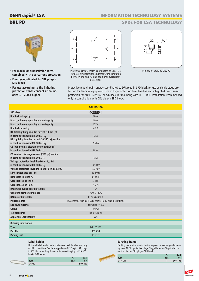# **DEHNrapid® LSA DRL PD**

# **INFORMATION TECHNOLOGY SYSTEMS**

## **SPDs FOR LSA TECHNOLOGY**



- **For maximum transmission rates – combined with overcurrent protection**
- **Energy-coordinated to DRL plug-in SPD block**
- **For use according to the lightning protection zones concept at boundaries 1 – 2 and higher**



Protective circuit, energy-coordinated to DRL 10 B for protecting terminal equipment, fine limitation between line and PG and additional overcurrent protection.



Dimension drawing DRL PD

Protective plug (1 pair), energy-coordinated to DRL plug-in SPD block for use as single-stage protection for terminal equipment. Low voltage protection level line-line and integrated overcurrent protection for ADSL, ISDN  $U_{k0}$  or a/b lines. For mounting with EF 10 DRL. Installation recommended only in combination with DRL plug-in SPD block.

|                                                                  | <b>DRL PD 180</b>                                          |  |
|------------------------------------------------------------------|------------------------------------------------------------|--|
| SPD class                                                        | CTYPE 3 P1                                                 |  |
| Nominal voltage U <sub>N</sub>                                   | 180V                                                       |  |
| Max. continuous operating d.c. voltage U <sub>C</sub>            | 180V                                                       |  |
| Max. continuous operating a.c. voltage U <sub>c</sub>            | 127 V                                                      |  |
| Nominal current IL                                               | 0.1A                                                       |  |
| D1 Total lightning impulse current (10/350 µs)                   |                                                            |  |
| in combination with DRL 10 B $I_{\text{imn}}$                    | 5 kA                                                       |  |
| D1 Lightning impulse current (10/350 µs) per line                |                                                            |  |
| in combination with DRL 10 B I <sub>imp</sub>                    | 2.5 kA                                                     |  |
| C2 Total nominal discharge current (8/20 µs)                     |                                                            |  |
| in combination with DRL 10 B $I_n$                               | 10 kA                                                      |  |
| C2 Nominal discharge current (8/20 µs) per line                  |                                                            |  |
| in combination with DRL 10 B $I_n$                               | 5 kA                                                       |  |
| Voltage protection level line-PG for Iimp D1                     |                                                            |  |
| in combination with DRL 10 B $U_p$                               | $\leq 500$ V                                               |  |
| Voltage protection level line-line for 1 kV/µs C3 U <sub>p</sub> | $\leq$ 270 V                                               |  |
| Series impedance per line                                        | 12 ohms                                                    |  |
| Bandwidth line-line $f_G$                                        | 61 MHz                                                     |  |
| Capacitance line-line C                                          | $\leq 80$ pF                                               |  |
| Capacitance line-PG C                                            | $\leq 7$ pF                                                |  |
| Integrated overcurrent protection                                | V                                                          |  |
| Operating temperature range                                      | $-40^{\circ}$ C+80 $^{\circ}$ C                            |  |
| Degree of protection                                             | IP 20 plugged in                                           |  |
| Pluggable into                                                   | LSA disconnection block 2/10 or DRL 10 B plug-in SPD block |  |
| <b>Enclosure material</b>                                        | polyamide PA 6.6                                           |  |
| Colour                                                           | yellow                                                     |  |
| Test standards                                                   | IEC 61643-21                                               |  |
| Approvals, Certifications                                        | VdS                                                        |  |
| Ordering information                                             |                                                            |  |
| <b>Type</b>                                                      | <b>DRL PD 180</b>                                          |  |
| Part No.                                                         | 907 430                                                    |  |
| Packing unit                                                     | 10 $pc(s)$ .                                               |  |

#### **Label holder**

Universal label holder made of stainless steel, for clear marking of LSA connections. Can be snapped onto DEHNrapid LSA plugin SPD blocks, earthing frames with protective plug or LSA SPD blocks, 2/10 series.

|               | PU    | Part    |
|---------------|-------|---------|
| <b>Type</b>   | pc(s) | No.     |
| <b>SR DRL</b> |       | 907 497 |

#### **Earthing frame**

Earthing frame with snap-in device, required for earthing and mounting max. 10 DRL protective plugs. Pluggable onto a 10-pair disconnection block or DRL plug-in SPD block.

| - 70 |             | PU    | Part    |
|------|-------------|-------|---------|
| $-1$ | <b>Type</b> | pc(s) | No.     |
|      | EF 10 DRL   |       | 907 498 |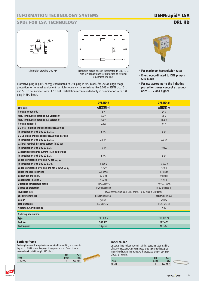# **INFORMATION TECHNOLOGY SYSTEMS**

# **SPDs FOR LSA TECHNOLOGY**



Dimension drawing DRL HD



Protective circuit, energy-coordinated to DRL 10 B, with low capacitance for protection of terminal equipment line-line.

Protective plug (1 pair), energy-coordinated to DRL plug-in SPD block, for use as single-stage protection for terminal equipment for high-frequency transmissions like G.703 or ISDN U<sub>2m</sub>, S<sub>2m</sub> and  $S_0$  . To be installed with EF 10 DRL. Installation recommended only in combination with DRL plug-in SPD block.



- **For maximum transmission rates**
- **Energy-coordinated to DRL plug-in SPD block**
- **For use according to the lightning protection zones concept at boundaries 1 – 2 and higher**

|                                                                  | <b>DRL HD 5</b>                 | DRL HD 24                                                  |
|------------------------------------------------------------------|---------------------------------|------------------------------------------------------------|
| SPD class                                                        | CTYPE 3 P1                      | CTYPE 3 P1                                                 |
| Nominal voltage U <sub>N</sub>                                   | 5V                              | 24 V                                                       |
| Max. continuous operating d.c. voltage U <sub>C</sub>            | 6.5V                            | 28 V                                                       |
| Max. continuous operating a.c. voltage U <sub>c</sub>            | 4.6V                            | 19.5 V                                                     |
| Nominal current I <sub>I</sub>                                   | 0.4A                            | 0.4A                                                       |
| D1 Total lightning impulse current (10/350 µs)                   |                                 |                                                            |
| in combination with DRL 10 B I <sub>imp</sub>                    | 5 kA                            | 5 kA                                                       |
| D1 Lightning impulse current (10/350 µs) per line                |                                 |                                                            |
| in combination with DRL 10 B I <sub>imp</sub>                    | 2.5 kA                          | 2.5 kA                                                     |
| C2 Total nominal discharge current (8/20 µs)                     |                                 |                                                            |
| in combination with DRL 10 B $I_n$                               | 10 kA                           | 10 kA                                                      |
| C2 Nominal discharge current (8/20 µs) per line                  |                                 |                                                            |
| in combination with DRL 10 B $I_n$                               | 5 kA                            | 5 kA                                                       |
| Voltage protection level line-PG for Iimp D1                     |                                 |                                                            |
| in combination with DRL 10 B $U_p$                               | $\leq 500$ V                    | $\leq 500$ V                                               |
| Voltage protection level line-line for 1 kV/µs C3 U <sub>p</sub> | $\leq$ 25 V                     | $\leq 46$ V                                                |
| Series impedance per line                                        | 2.2 ohms                        | 4.7 ohms                                                   |
| Bandwidth line-line f <sub>G</sub>                               | 90 MHz                          | 94 MHz                                                     |
| Capacitance line-line C                                          | $\leq$ 22 pF                    | $\leq$ 22 pF                                               |
| Operating temperature range                                      | $-40^{\circ}$ C $+80^{\circ}$ C | $-40^{\circ}$ C $+80^{\circ}$ C                            |
| Degree of protection                                             | IP 20 plugged in                | IP 20 plugged in                                           |
| Pluggable into                                                   |                                 | LSA disconnection block 2/10 or DRL 10 B plug-in SPD block |
| Enclosure material                                               | polyamide PA 6.6                | polyamide PA 6.6                                           |
| Colour                                                           | yellow                          | yellow                                                     |
| <b>Test standards</b>                                            | IEC 61643-21                    | IEC 61643-21                                               |
| <b>Approvals, Certifications</b>                                 |                                 | VdS                                                        |
| Ordering information                                             |                                 |                                                            |
| <b>Type</b>                                                      | DRL HD 5                        | DRL HD 24                                                  |
| Part No.                                                         | 907 465                         | 907 470                                                    |
| Packing unit                                                     | 10 $pc(s)$ .                    | 10 $pc(s)$ .                                               |

#### **Earthing frame**

Earthing frame with snap-in device, required for earthing and mounting max. 10 DRL protective plugs. Pluggable onto a 10-pair disconnection block or DRL plug-in SPD block.

| Type      | PU<br>nc(c) | Part<br>No. |  |
|-----------|-------------|-------------|--|
| EF 10 DRL |             | 907 498     |  |

#### **Label holder**

Universal label holder made of stainless steel, for clear marking of LSA connections. Can be snapped onto DEHNrapid LSA plugin SPD blocks, earthing frames with protective plug or LSA SPD blocks, 2/10 series.

|               | PU    | Part    |  |
|---------------|-------|---------|--|
| <b>Type</b>   | pc(s) | No.     |  |
| <b>SR DRL</b> |       | 907 497 |  |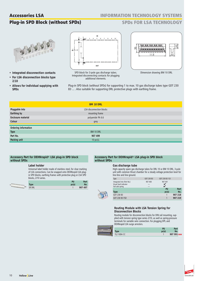## **INFORMATION TECHNOLOGY SYSTEMS**

# **Plug-in SPD Block (without SPDs)**

# **SPDs FOR LSA TECHNOLOGY**



- **Integrated disconnection contacts**
- **For LSA disconnection blocks type 2/10**
- **Allows for individual supplying with SPDs**



SPD block for 3-pole gas discharge tubes. Integrated disconnecting contacts for plugging additional elements.



Dimension drawing BM 10 DRL

Plug-in SPD block (without SPDs) for supporting 1 to max. 10 gas discharge tubes type GDT 230 B3 ... . Also suitable for supporting DRL protective plugs with earthing frame.

|                      | <b>BM 10 DRL</b>         |  |
|----------------------|--------------------------|--|
| Pluggable into       | LSA disconnection blocks |  |
| Earthing by          | mounting frame           |  |
| Enclosure material   | polyamide PA 6.6         |  |
| Colour               | grey                     |  |
| Ordering information |                          |  |
| <b>Type</b>          | BM 10 DRL                |  |
| Part No.             | 907 499                  |  |
| Packing unit         | 10 pc(s).                |  |

틁

#### **Accessory Part for DEHNrapid® LSA plug-in SPD block without SPDs**

#### **Label holder**

Universal label holder made of stainless steel, for clear marking of LSA connections. Can be snapped onto DEHNrapid LSA plugin SPD blocks, earthing frames with protective plug or LSA SPD blocks, 2/10 series.

|               | <b>DII</b> | Part    |
|---------------|------------|---------|
| Type          | ne/c       | No.     |
| <b>SR DRL</b> |            | 907 497 |
|               |            |         |

#### **Accessory Part for DEHNrapid® LSA plug-in SPD block without SPDs**

#### **Gas discharge tube**

High-capacity spare gas discharge tubes for DRL 10 or BM 10 DRL. 3-pole unit with common thrust chamber for a steady voltage protection level for line-line and line-ground.

| Type                                                 | GDT 230 B3 | GDT 230 B3 FSD |         |
|------------------------------------------------------|------------|----------------|---------|
| Integrated into (Part No.)<br>Visual fault indicator | 907 400    | 907 401<br>M   |         |
| Fail-safe spring                                     |            |                |         |
|                                                      |            | PU             | Part    |
| <b>Type</b>                                          |            | pc(s)          | No.     |
| GDT 230 B3                                           |            |                | 907 218 |
| GDT 230 B3 FSD                                       |            |                | 907 219 |

#### **Routing Module with LSA Tension Spring for Disconnection Blocks**

Routing module for disconnection blocks for DIN rail mounting, supplied with tension spring type series 2/10, as well as spring-pressure terminals for variable wire connection. For plugging DPL and DEHNrapid LSA surge arresters.

|                    | PU | Part        |
|--------------------|----|-------------|
| <b>ype</b>         |    | No.         |
| <b>TL2 10DA CC</b> |    | 907 991 new |

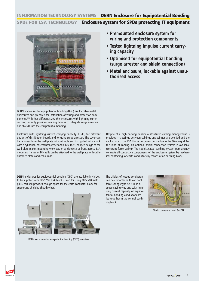### **INFORMATION TECHNOLOGY SYSTEMS DEHN Enclosure for Equipotential Bonding SPDs FOR LSA TECHNOLOGY Enclosure system for SPDs protecting IT equipment**



DEHN enclosures for equipotential bonding (DPG) are lockable metal enclosures and prepared for installation of wiring and protection components. With four different sizes, the enclosures with lightning current carrying capacity provide clamping devices to integrate surge arresters and shields into the equipotential bonding.

Enclosure with lightning current carrying capacity, IP 40, for different designs of distribution boards and for using surge arresters. The cover can be removed from the wall plate without tools and is supplied with a lock with a cylindrical casement fastener and a key.The C-shaped design of the wall plate makes mounting work easier by sidewise or front access. LSA mounting frames or DIN rails can be attached to the wall plate with cable entrance plates and cable rails.

- **Premounted enclosure system for wiring and protection components**
- **Tested lightning impulse current carrying capacity**
- **Optimised for equipotential bonding (surge arrester and shield connection)**
- **Metal enclosure, lockable against unauthorised access**

Despite of a high packing density, a structured cabling management is provided – crossings between cablings and wirings are avoided and the cabling of e.g. the LSA blocks becomes concise due to the 30 mm grid. For this kind of cabling, an optional shield connection system is available (constant force spring). The sophisticated earthing system permanently connects all conductive components of the enclosure system by mechanical contacting, or earth conductors by means of an earthing block.

DEHN enclosures for equipotential bonding (DPG) are available in 4 sizes to be supplied with 3/6/12/22 LSA blocks. Even for using 20/50/100/200 pairs, this still provides enough space for the earth conductor block for supporting shielded sheath wires.



DEHN enclosures for equipotential bonding (DPG) in 4 sizes

The shields of feeded conductors can be contacted with constant force springs type SA KRF in a space-saving way and with lightning current capacity. All equipotential bonding conductors are led together in the central earthing block.



Shield connection with SA KRF